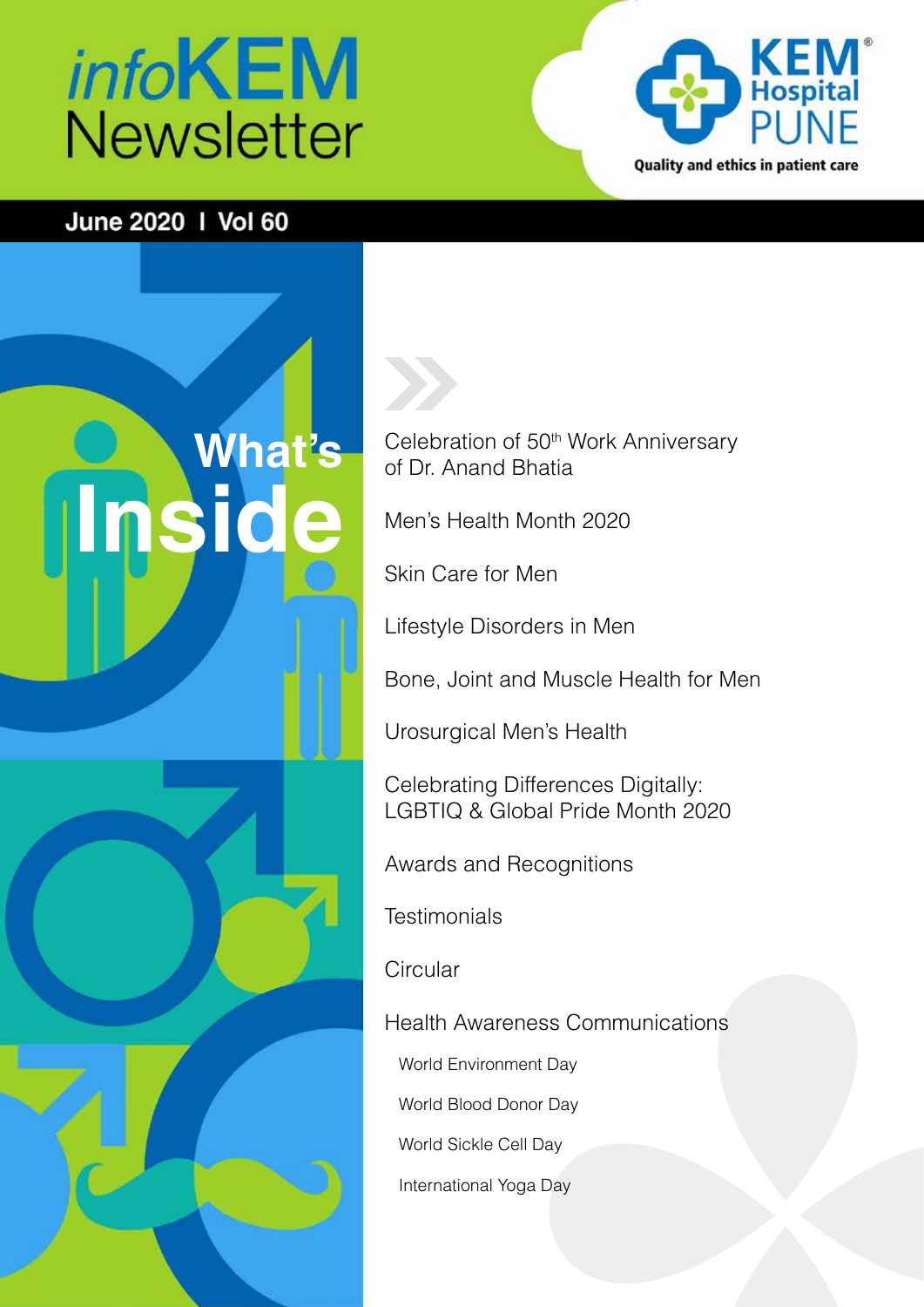# *info***KEM Newsletter**



### June 2020 | Vol 60

# **What's Inside**



Celebration of 50<sup>th</sup> Work Anniversary of Dr. Anand Bhatia

Men's Health Month 2020

Skin Care for Men

Lifestyle Disorders in Men

Bone, Joint and Muscle Health for Men

Urosurgical Men's Health

Celebrating Differences Digitally: LGBTIQ & Global Pride Month 2020

Awards and Recognitions

**Testimonials** 

**Circular** 

Health Awareness Communications

World Environment Day

World Blood Donor Day

World Sickle Cell Day

International Yoga Day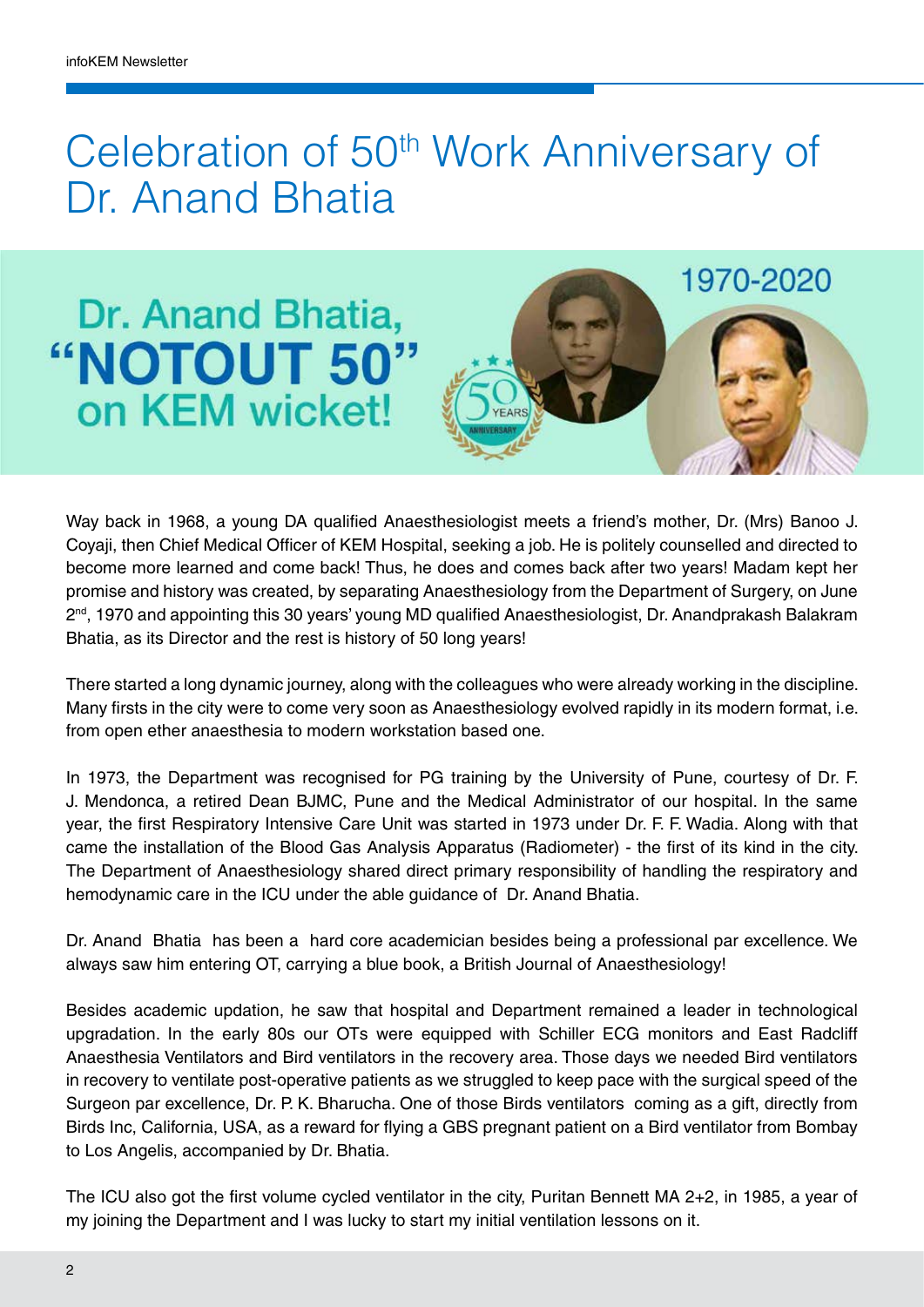### Celebration of 50<sup>th</sup> Work Anniversary of Dr. Anand Bhatia

### Dr. Anand Bhatia, "NOTOUT 50" on KEM wicket!



Way back in 1968, a young DA qualified Anaesthesiologist meets a friend's mother, Dr. (Mrs) Banoo J. Coyaji, then Chief Medical Officer of KEM Hospital, seeking a job. He is politely counselled and directed to become more learned and come back! Thus, he does and comes back after two years! Madam kept her promise and history was created, by separating Anaesthesiology from the Department of Surgery, on June  $2<sup>nd</sup>$ , 1970 and appointing this 30 years' young MD qualified Anaesthesiologist, Dr. Anandprakash Balakram Bhatia, as its Director and the rest is history of 50 long years!

There started a long dynamic journey, along with the colleagues who were already working in the discipline. Many firsts in the city were to come very soon as Anaesthesiology evolved rapidly in its modern format, i.e. from open ether anaesthesia to modern workstation based one.

In 1973, the Department was recognised for PG training by the University of Pune, courtesy of Dr. F. J. Mendonca, a retired Dean BJMC, Pune and the Medical Administrator of our hospital. In the same year, the first Respiratory Intensive Care Unit was started in 1973 under Dr. F. F. Wadia. Along with that came the installation of the Blood Gas Analysis Apparatus (Radiometer) - the first of its kind in the city. The Department of Anaesthesiology shared direct primary responsibility of handling the respiratory and hemodynamic care in the ICU under the able guidance of Dr. Anand Bhatia.

Dr. Anand Bhatia has been a hard core academician besides being a professional par excellence. We always saw him entering OT, carrying a blue book, a British Journal of Anaesthesiology!

Besides academic updation, he saw that hospital and Department remained a leader in technological upgradation. In the early 80s our OTs were equipped with Schiller ECG monitors and East Radcliff Anaesthesia Ventilators and Bird ventilators in the recovery area. Those days we needed Bird ventilators in recovery to ventilate post-operative patients as we struggled to keep pace with the surgical speed of the Surgeon par excellence, Dr. P. K. Bharucha. One of those Birds ventilators coming as a gift, directly from Birds Inc, California, USA, as a reward for flying a GBS pregnant patient on a Bird ventilator from Bombay to Los Angelis, accompanied by Dr. Bhatia.

The ICU also got the first volume cycled ventilator in the city, Puritan Bennett MA 2+2, in 1985, a year of my joining the Department and I was lucky to start my initial ventilation lessons on it.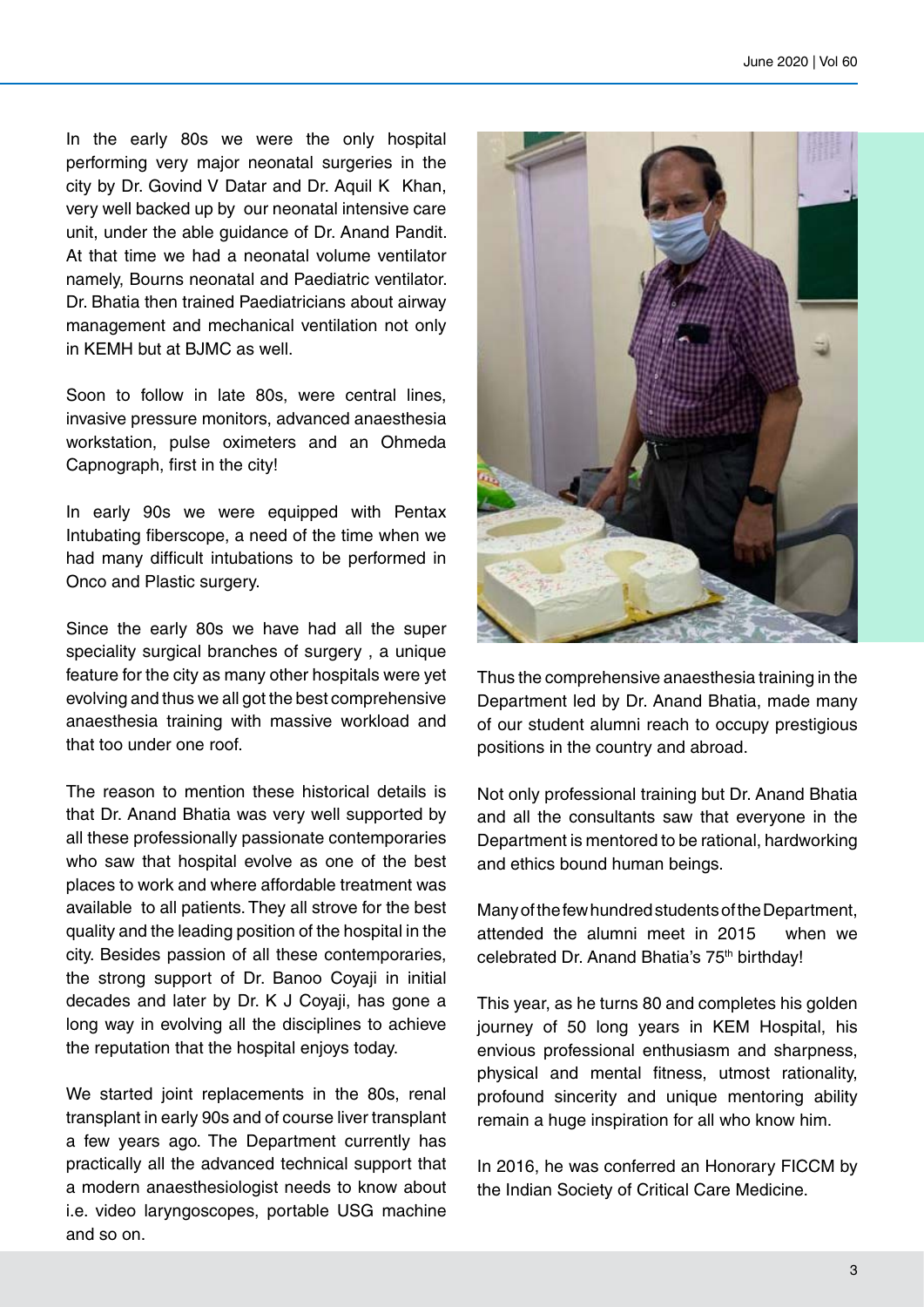In the early 80s we were the only hospital performing very major neonatal surgeries in the city by Dr. Govind V Datar and Dr. Aquil K Khan, very well backed up by our neonatal intensive care unit, under the able guidance of Dr. Anand Pandit. At that time we had a neonatal volume ventilator namely, Bourns neonatal and Paediatric ventilator. Dr. Bhatia then trained Paediatricians about airway management and mechanical ventilation not only in KEMH but at BJMC as well.

Soon to follow in late 80s, were central lines, invasive pressure monitors, advanced anaesthesia workstation, pulse oximeters and an Ohmeda Capnograph, first in the city!

In early 90s we were equipped with Pentax Intubating fiberscope, a need of the time when we had many difficult intubations to be performed in Onco and Plastic surgery.

Since the early 80s we have had all the super speciality surgical branches of surgery , a unique feature for the city as many other hospitals were yet evolving and thus we all got the best comprehensive anaesthesia training with massive workload and that too under one roof.

The reason to mention these historical details is that Dr. Anand Bhatia was very well supported by all these professionally passionate contemporaries who saw that hospital evolve as one of the best places to work and where affordable treatment was available to all patients. They all strove for the best quality and the leading position of the hospital in the city. Besides passion of all these contemporaries, the strong support of Dr. Banoo Coyaji in initial decades and later by Dr. K J Coyaji, has gone a long way in evolving all the disciplines to achieve the reputation that the hospital enjoys today.

We started joint replacements in the 80s, renal transplant in early 90s and of course liver transplant a few years ago. The Department currently has practically all the advanced technical support that a modern anaesthesiologist needs to know about i.e. video laryngoscopes, portable USG machine and so on.



Thus the comprehensive anaesthesia training in the Department led by Dr. Anand Bhatia, made many of our student alumni reach to occupy prestigious positions in the country and abroad.

Not only professional training but Dr. Anand Bhatia and all the consultants saw that everyone in the Department is mentored to be rational, hardworking and ethics bound human beings.

Many of the few hundred students of the Department, attended the alumni meet in 2015 when we celebrated Dr. Anand Bhatia's 75<sup>th</sup> birthday!

This year, as he turns 80 and completes his golden journey of 50 long years in KEM Hospital, his envious professional enthusiasm and sharpness, physical and mental fitness, utmost rationality, profound sincerity and unique mentoring ability remain a huge inspiration for all who know him.

In 2016, he was conferred an Honorary FICCM by the Indian Society of Critical Care Medicine.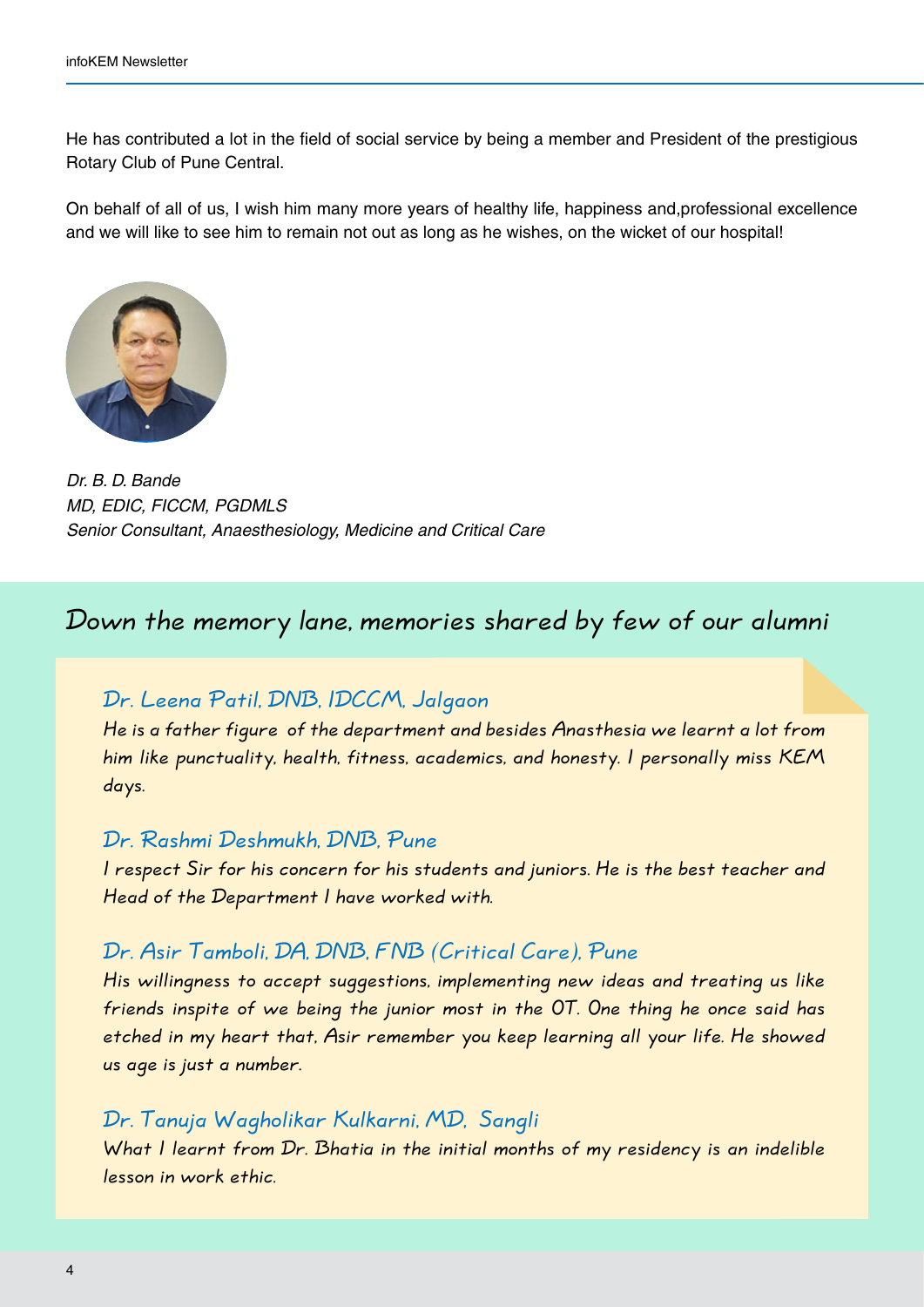He has contributed a lot in the field of social service by being a member and President of the prestigious Rotary Club of Pune Central.

On behalf of all of us, I wish him many more years of healthy life, happiness and,professional excellence and we will like to see him to remain not out as long as he wishes, on the wicket of our hospital!



*Dr. B. D. Bande MD, EDIC, FICCM, PGDMLS Senior Consultant, Anaesthesiology, Medicine and Critical Care*

Down the memory lane, memories shared by few of our alumni

Dr. Leena Patil, DNB, IDCCM, Jalgaon

He is a father figure of the department and besides Anasthesia we learnt a lot from him like punctuality, health, fitness, academics, and honesty. I personally miss KEM days.

#### Dr. Rashmi Deshmukh, DNB, Pune

I respect Sir for his concern for his students and juniors. He is the best teacher and Head of the Department I have worked with.

#### Dr. Asir Tamboli, DA, DNB, FNB (Critical Care), Pune

His willingness to accept suggestions, implementing new ideas and treating us like friends inspite of we being the junior most in the OT. One thing he once said has etched in my heart that, Asir remember you keep learning all your life. He showed us age is just a number.

#### Dr. Tanuja Wagholikar Kulkarni, MD, Sangli

What I learnt from Dr. Bhatia in the initial months of my residency is an indelible lesson in work ethic.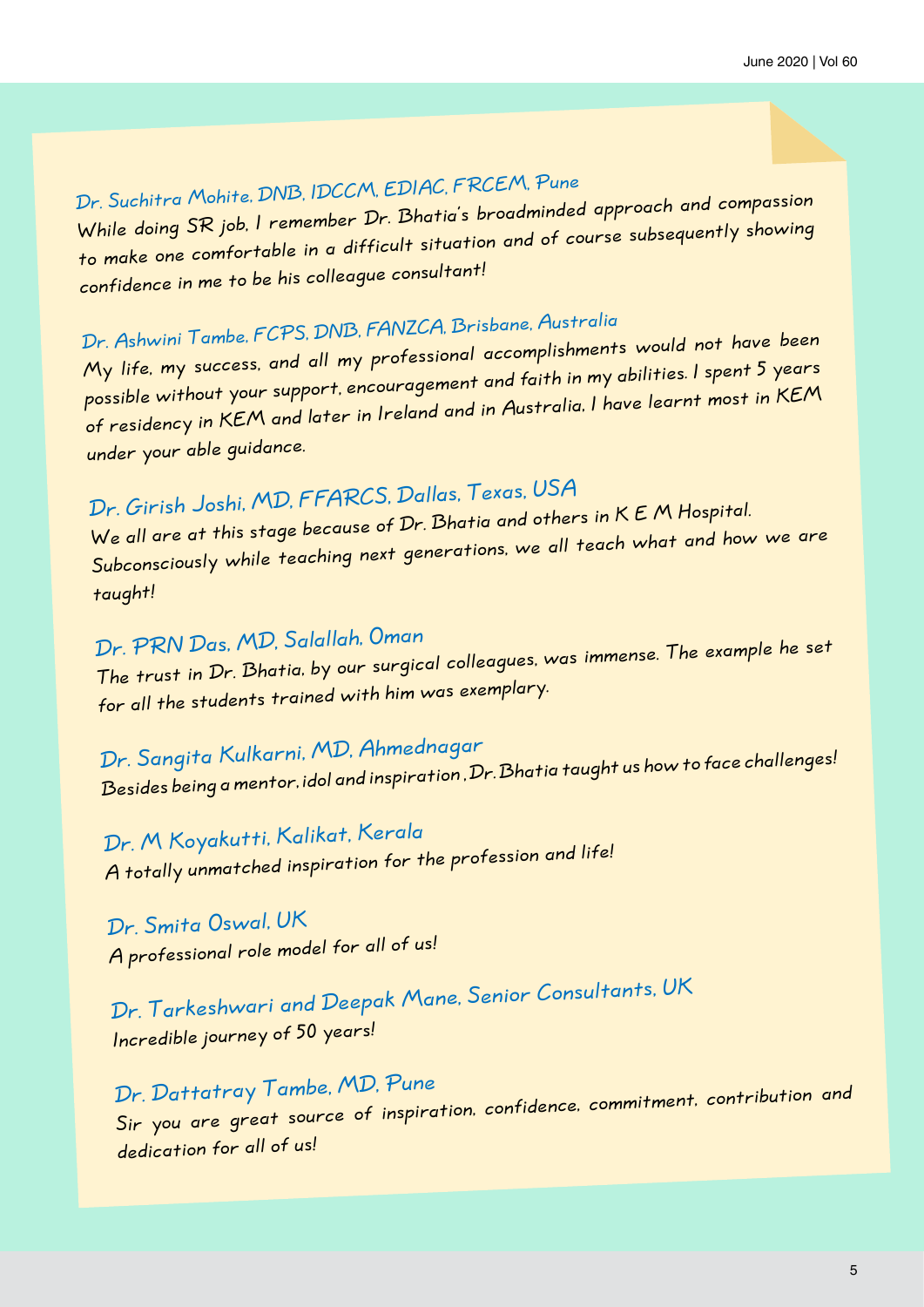### Dr. Suchitra Mohite, DNB, IDCCM, EDIAC, FRCEM, Pune

While doing SR job, I remember Dr. Bhatia's broadminded approach and compassion to make one comfortable in a difficult situation and of course subsequently showing confidence in me to be his colleague consultant!

### Dr. Ashwini Tambe, FCPS, DNB, FANZCA, Brisbane, Australia

My life, my success, and all my professional accomplishments would not have been possible without your support, encouragement and faith in my abilities. I spent 5 years of residency in KEM and later in Ireland and in Australia, I have learnt most in KEM under your able guidance.

### Dr. Girish Joshi, MD, FFARCS, Dallas, Texas, USA

We all are at this stage because of Dr. Bhatia and others in K E M Hospital. Subconsciously while teaching next generations, we all teach what and how we are taught!

### Dr. PRN Das, MD, Salallah, Oman

The trust in Dr. Bhatia, by our surgical colleagues, was immense. The example he set for all the students trained with him was exemplary.

### Dr. Sangita Kulkarni, MD, Ahmednagar

Besides being a mentor, idol and inspiration , Dr. Bhatia taught us how to face challenges!

Dr. M Koyakutti, Kalikat, Kerala A totally unmatched inspiration for the profession and life!

Dr. Smita Oswal, UK A professional role model for all of us!

Dr. Tarkeshwari and Deepak Mane, Senior Consultants, UK Incredible journey of 50 years!

### Dr. Dattatray Tambe, MD, Pune Sir you are great source of inspiration, confidence, commitment, contribution and dedication for all of us!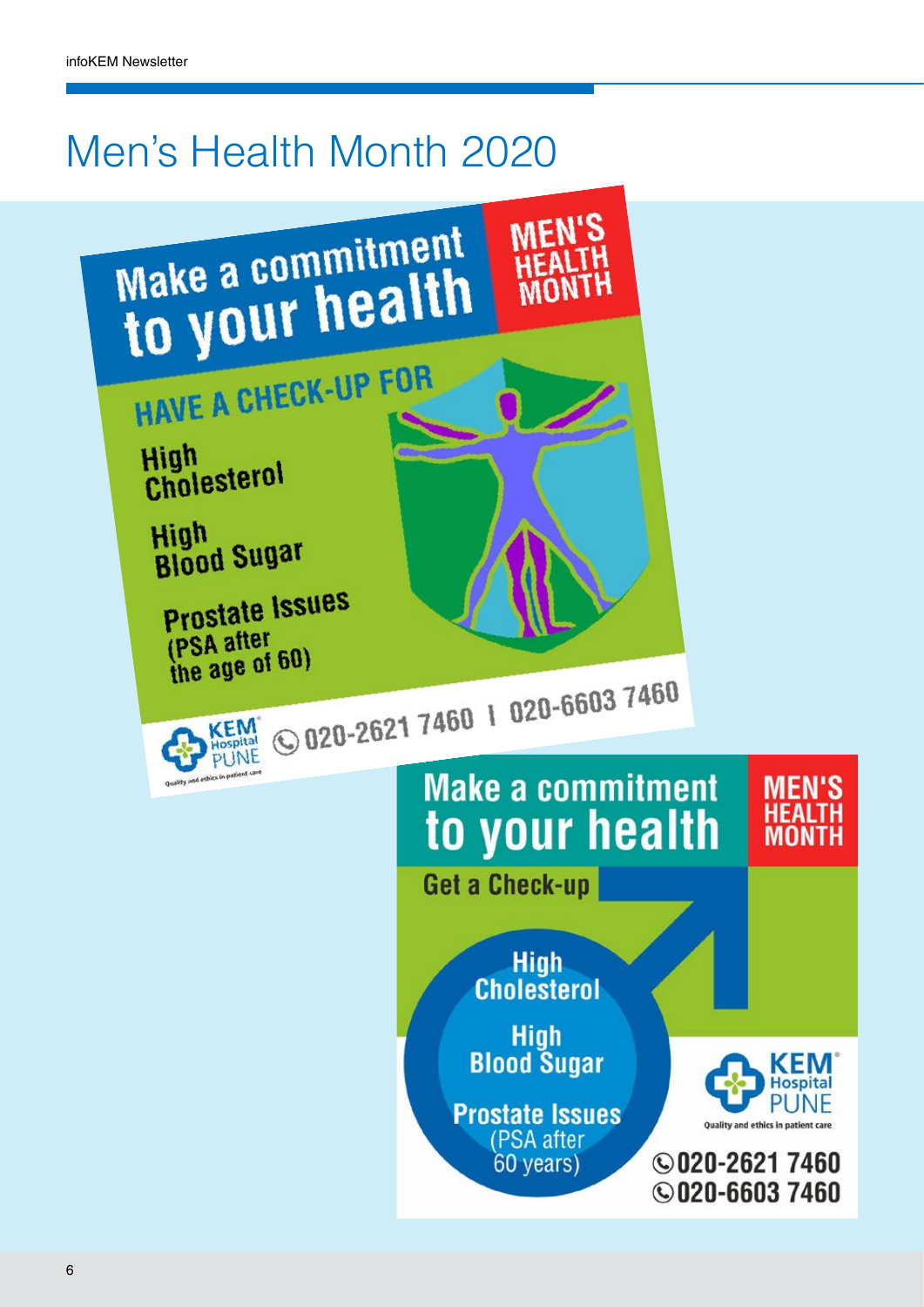## Men's Health Month 2020

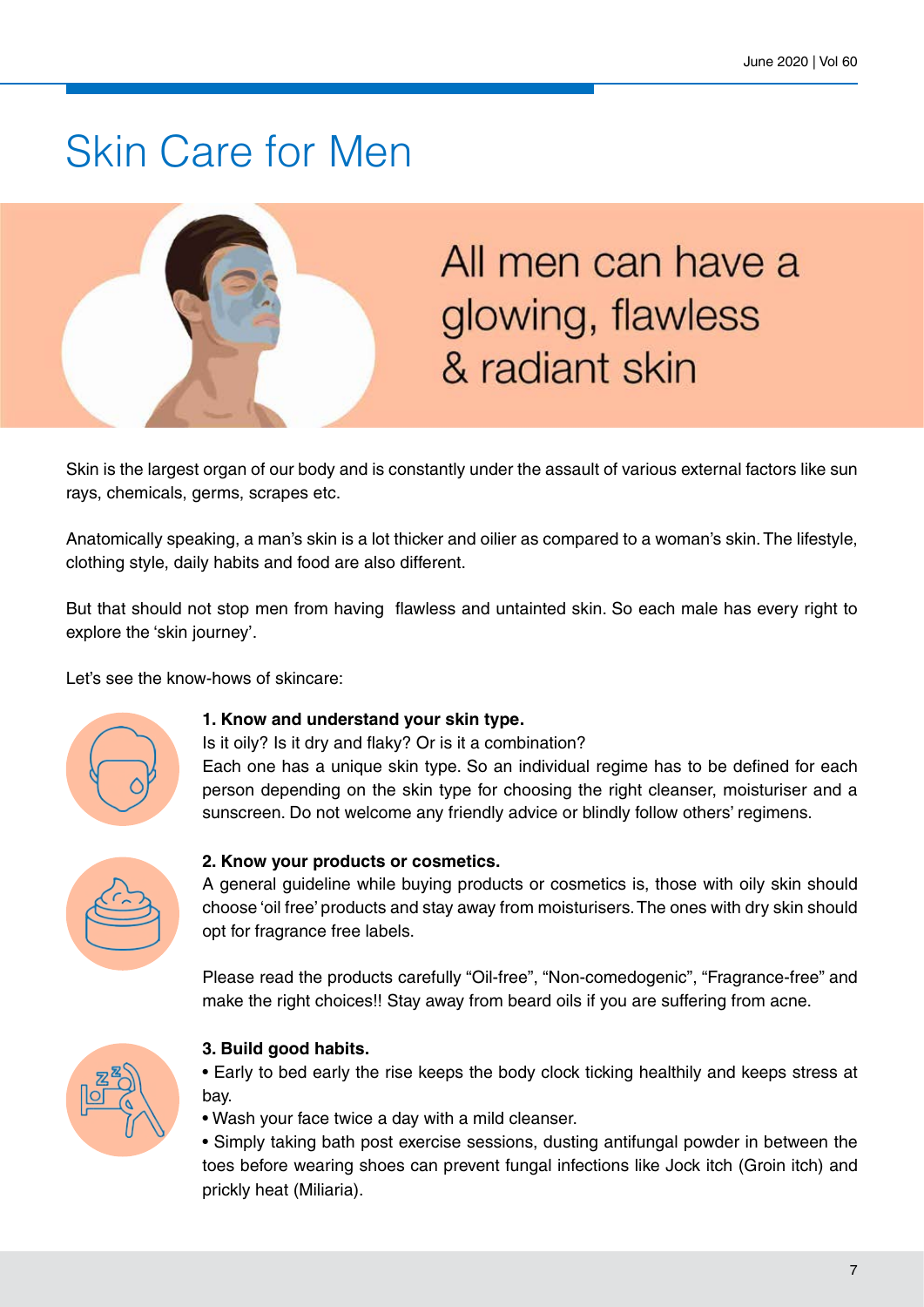### Skin Care for Men



## All men can have a glowing, flawless & radiant skin

Skin is the largest organ of our body and is constantly under the assault of various external factors like sun rays, chemicals, germs, scrapes etc.

Anatomically speaking, a man's skin is a lot thicker and oilier as compared to a woman's skin. The lifestyle, clothing style, daily habits and food are also different.

But that should not stop men from having flawless and untainted skin. So each male has every right to explore the 'skin journey'.

Let's see the know-hows of skincare:



#### **1. Know and understand your skin type.**

Is it oily? Is it dry and flaky? Or is it a combination? Each one has a unique skin type. So an individual regime has to be defined for each person depending on the skin type for choosing the right cleanser, moisturiser and a sunscreen. Do not welcome any friendly advice or blindly follow others' regimens.



#### **2. Know your products or cosmetics.**

A general guideline while buying products or cosmetics is, those with oily skin should choose 'oil free' products and stay away from moisturisers. The ones with dry skin should opt for fragrance free labels.

Please read the products carefully "Oil-free", "Non-comedogenic", "Fragrance-free" and make the right choices!! Stay away from beard oils if you are suffering from acne.



#### **3. Build good habits.**

• Early to bed early the rise keeps the body clock ticking healthily and keeps stress at bay.

• Wash your face twice a day with a mild cleanser.

• Simply taking bath post exercise sessions, dusting antifungal powder in between the toes before wearing shoes can prevent fungal infections like Jock itch (Groin itch) and prickly heat (Miliaria).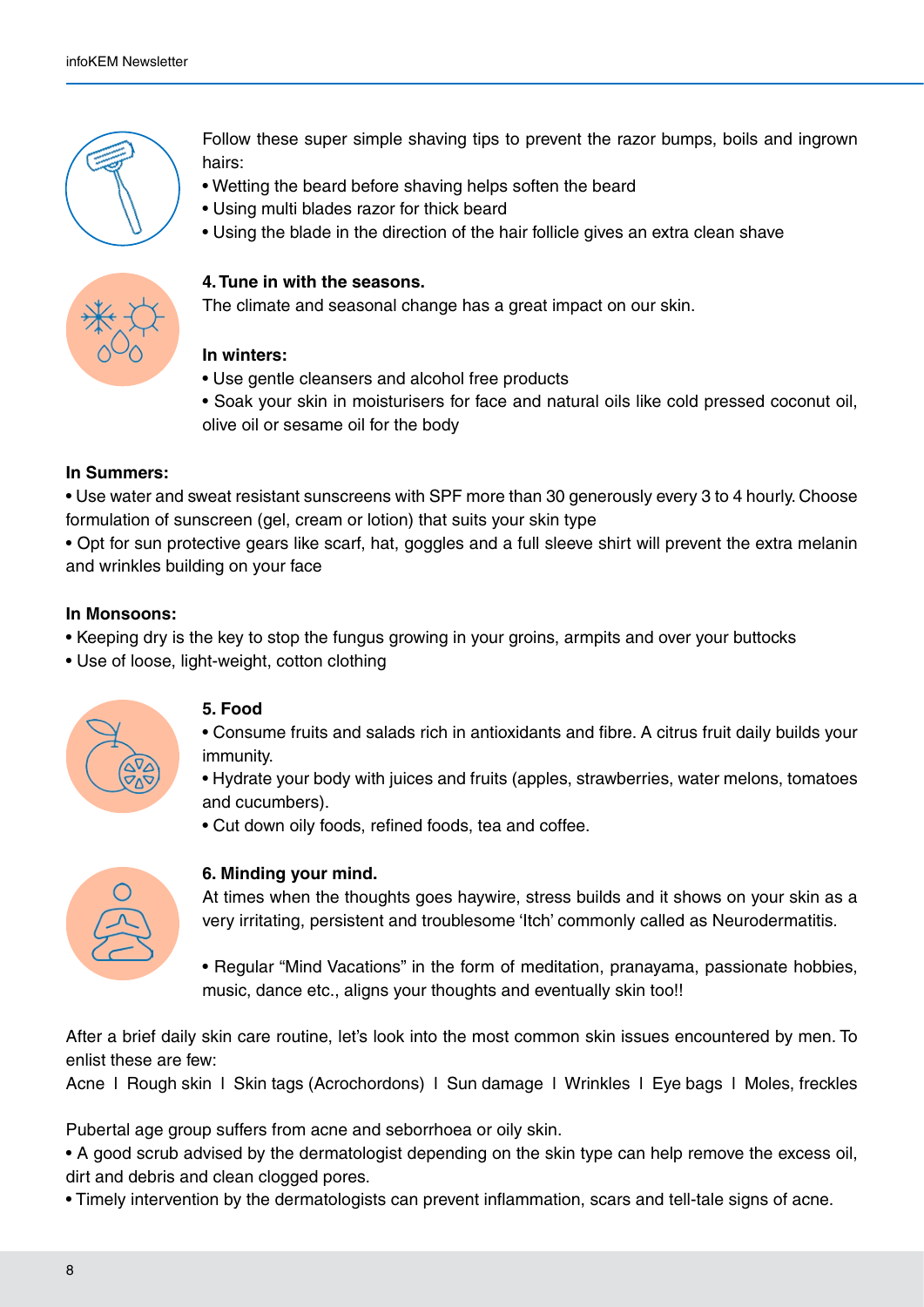

Follow these super simple shaving tips to prevent the razor bumps, boils and ingrown hairs:

- Wetting the beard before shaving helps soften the beard
- Using multi blades razor for thick beard
- Using the blade in the direction of the hair follicle gives an extra clean shave



#### **4. Tune in with the seasons.**

The climate and seasonal change has a great impact on our skin.

#### **In winters:**

- Use gentle cleansers and alcohol free products
- Soak your skin in moisturisers for face and natural oils like cold pressed coconut oil, olive oil or sesame oil for the body

#### **In Summers:**

• Use water and sweat resistant sunscreens with SPF more than 30 generously every 3 to 4 hourly. Choose formulation of sunscreen (gel, cream or lotion) that suits your skin type

• Opt for sun protective gears like scarf, hat, goggles and a full sleeve shirt will prevent the extra melanin and wrinkles building on your face

#### **In Monsoons:**

- Keeping dry is the key to stop the fungus growing in your groins, armpits and over your buttocks
- Use of loose, light-weight, cotton clothing



#### **5. Food**

- Consume fruits and salads rich in antioxidants and fibre. A citrus fruit daily builds your immunity.
- Hydrate your body with juices and fruits (apples, strawberries, water melons, tomatoes and cucumbers).
- Cut down oily foods, refined foods, tea and coffee.



#### **6. Minding your mind.**

At times when the thoughts goes haywire, stress builds and it shows on your skin as a very irritating, persistent and troublesome 'Itch' commonly called as Neurodermatitis.

• Regular "Mind Vacations" in the form of meditation, pranayama, passionate hobbies, music, dance etc., aligns your thoughts and eventually skin too!!

After a brief daily skin care routine, let's look into the most common skin issues encountered by men. To enlist these are few:

Acne l Rough skin l Skin tags (Acrochordons) l Sun damage l Wrinkles l Eye bags l Moles, freckles

Pubertal age group suffers from acne and seborrhoea or oily skin.

- A good scrub advised by the dermatologist depending on the skin type can help remove the excess oil, dirt and debris and clean clogged pores.
- Timely intervention by the dermatologists can prevent inflammation, scars and tell-tale signs of acne.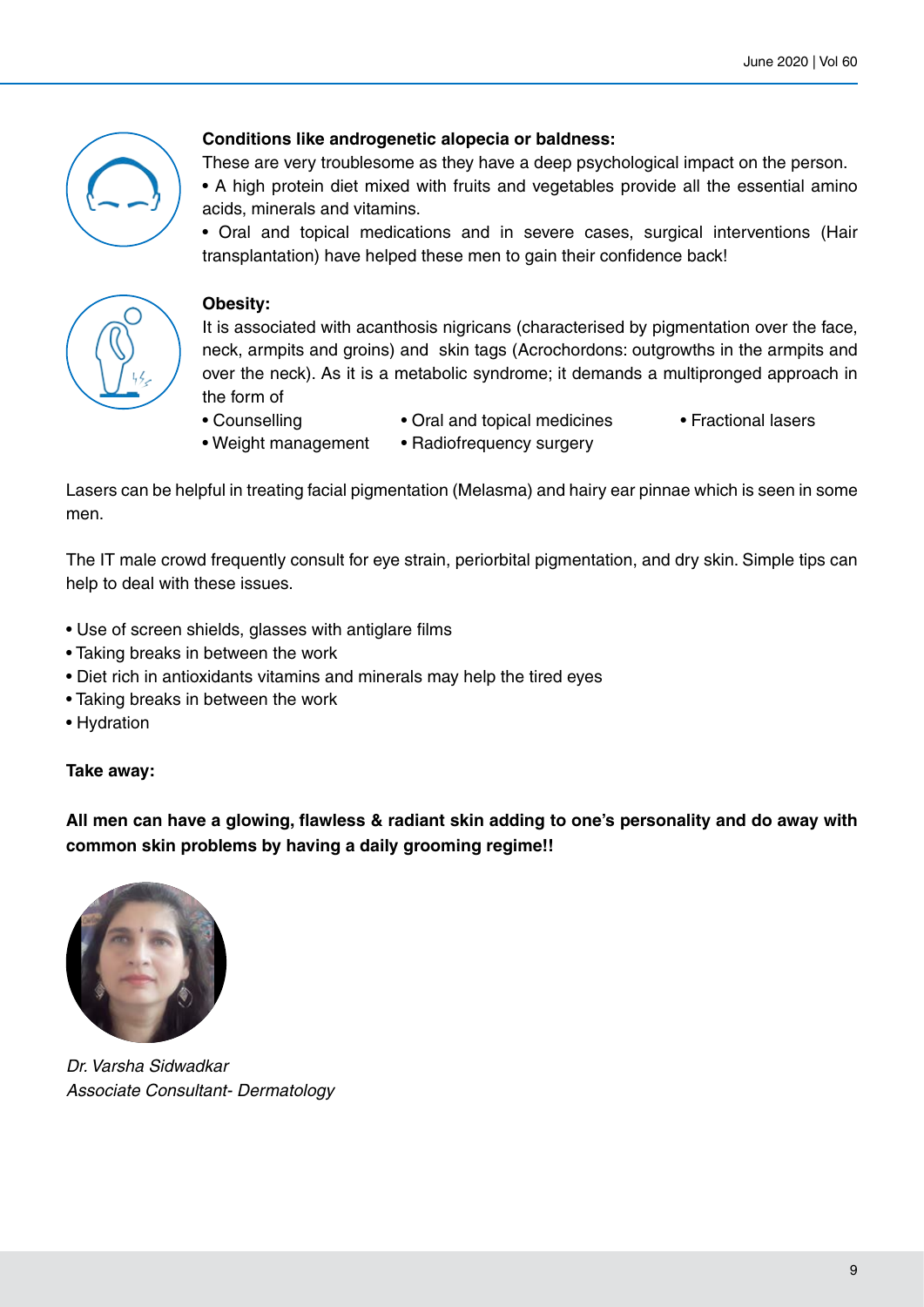

#### **Conditions like androgenetic alopecia or baldness:**

These are very troublesome as they have a deep psychological impact on the person.

• A high protein diet mixed with fruits and vegetables provide all the essential amino acids, minerals and vitamins.

• Oral and topical medications and in severe cases, surgical interventions (Hair transplantation) have helped these men to gain their confidence back!



#### **Obesity:**

It is associated with acanthosis nigricans (characterised by pigmentation over the face, neck, armpits and groins) and skin tags (Acrochordons: outgrowths in the armpits and over the neck). As it is a metabolic syndrome; it demands a multipronged approach in the form of

- 
- 
- Counselling Oral and topical medicines Fractional lasers
- Weight management Radiofrequency surgery

Lasers can be helpful in treating facial pigmentation (Melasma) and hairy ear pinnae which is seen in some men.

The IT male crowd frequently consult for eye strain, periorbital pigmentation, and dry skin. Simple tips can help to deal with these issues.

- Use of screen shields, glasses with antiglare films
- Taking breaks in between the work
- Diet rich in antioxidants vitamins and minerals may help the tired eyes
- Taking breaks in between the work
- Hydration

#### **Take away:**

**All men can have a glowing, flawless & radiant skin adding to one's personality and do away with common skin problems by having a daily grooming regime!!**



*Dr. Varsha Sidwadkar Associate Consultant- Dermatology*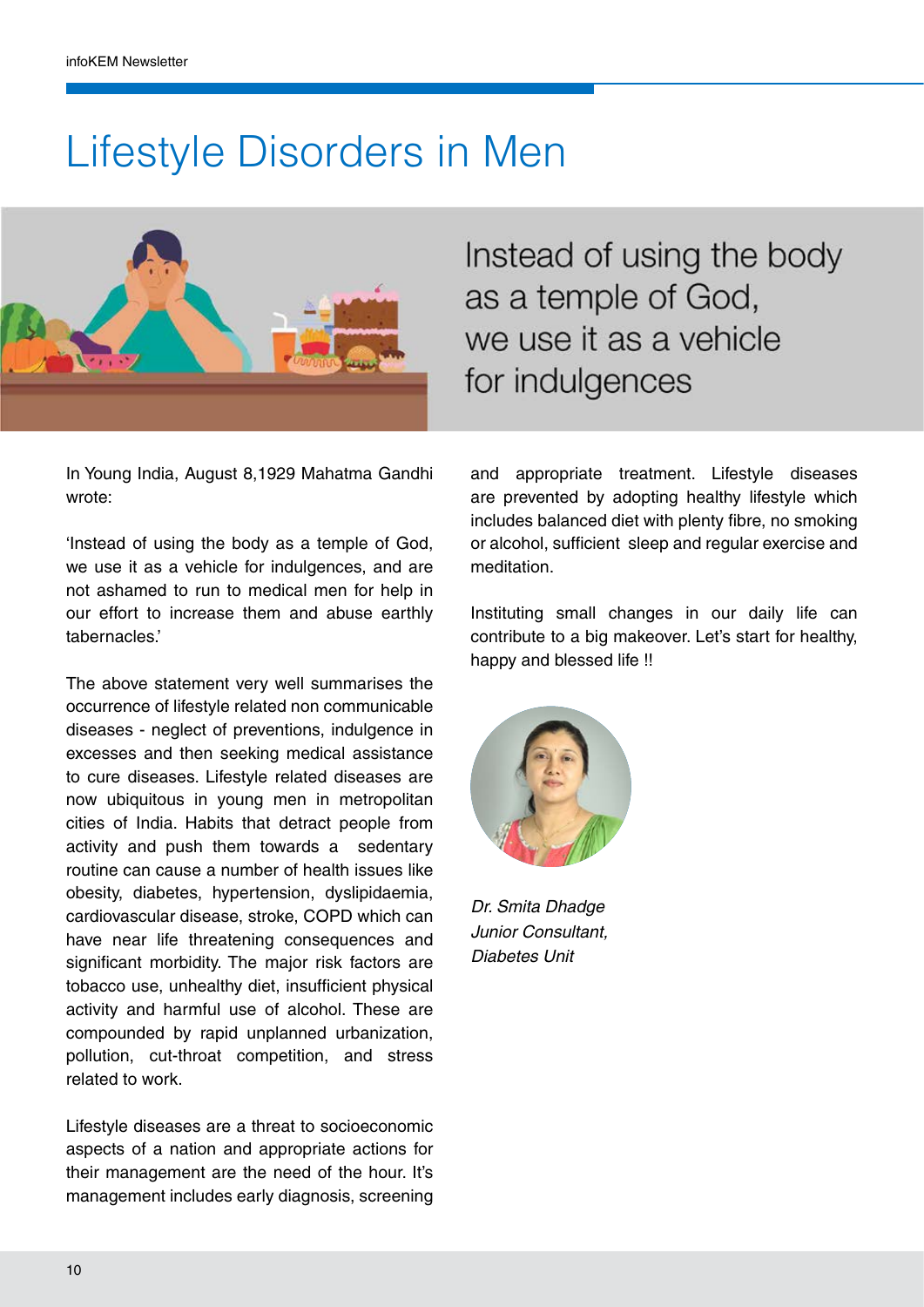### Lifestyle Disorders in Men



In Young India, August 8,1929 Mahatma Gandhi wrote:

'Instead of using the body as a temple of God, we use it as a vehicle for indulgences, and are not ashamed to run to medical men for help in our effort to increase them and abuse earthly tabernacles.'

The above statement very well summarises the occurrence of lifestyle related non communicable diseases - neglect of preventions, indulgence in excesses and then seeking medical assistance to cure diseases. Lifestyle related diseases are now ubiquitous in young men in metropolitan cities of India. Habits that detract people from activity and push them towards a sedentary routine can cause a number of health issues like obesity, diabetes, hypertension, dyslipidaemia, cardiovascular disease, stroke, COPD which can have near life threatening consequences and significant morbidity. The major risk factors are tobacco use, unhealthy diet, insufficient physical activity and harmful use of alcohol. These are compounded by rapid unplanned urbanization, pollution, cut-throat competition, and stress related to work.

Lifestyle diseases are a threat to socioeconomic aspects of a nation and appropriate actions for their management are the need of the hour. It's management includes early diagnosis, screening

Instead of using the body as a temple of God, we use it as a vehicle for indulgences

and appropriate treatment. Lifestyle diseases are prevented by adopting healthy lifestyle which includes balanced diet with plenty fibre, no smoking or alcohol, sufficient sleep and regular exercise and meditation.

Instituting small changes in our daily life can contribute to a big makeover. Let's start for healthy, happy and blessed life !!



*Dr. Smita Dhadge Junior Consultant, Diabetes Unit*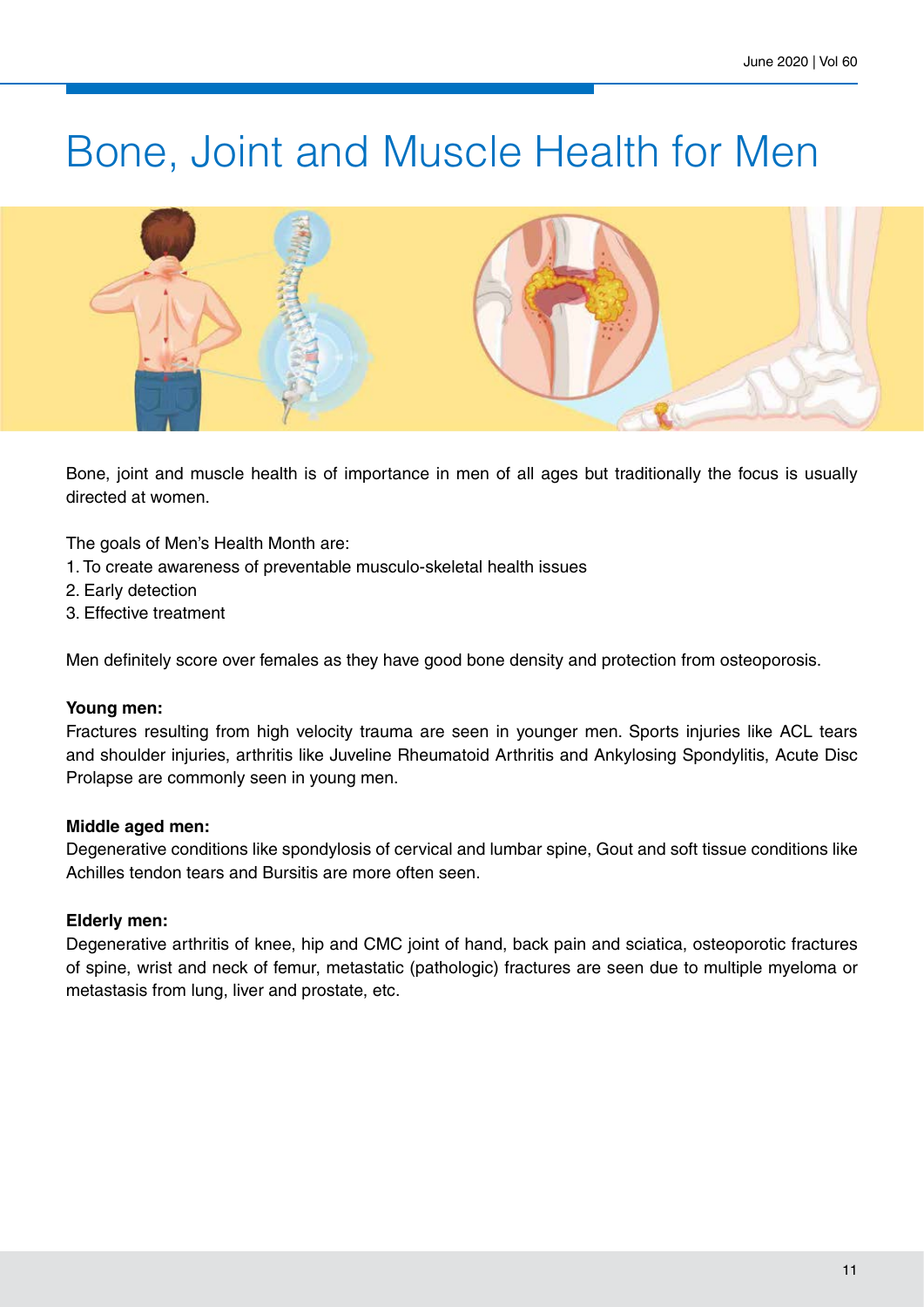### Bone, Joint and Muscle Health for Men



Bone, joint and muscle health is of importance in men of all ages but traditionally the focus is usually directed at women.

The goals of Men's Health Month are:

- 1. To create awareness of preventable musculo-skeletal health issues
- 2. Early detection
- 3. Effective treatment

Men definitely score over females as they have good bone density and protection from osteoporosis.

#### **Young men:**

Fractures resulting from high velocity trauma are seen in younger men. Sports injuries like ACL tears and shoulder injuries, arthritis like Juveline Rheumatoid Arthritis and Ankylosing Spondylitis, Acute Disc Prolapse are commonly seen in young men.

#### **Middle aged men:**

Degenerative conditions like spondylosis of cervical and lumbar spine, Gout and soft tissue conditions like Achilles tendon tears and Bursitis are more often seen.

#### **Elderly men:**

Degenerative arthritis of knee, hip and CMC joint of hand, back pain and sciatica, osteoporotic fractures of spine, wrist and neck of femur, metastatic (pathologic) fractures are seen due to multiple myeloma or metastasis from lung, liver and prostate, etc.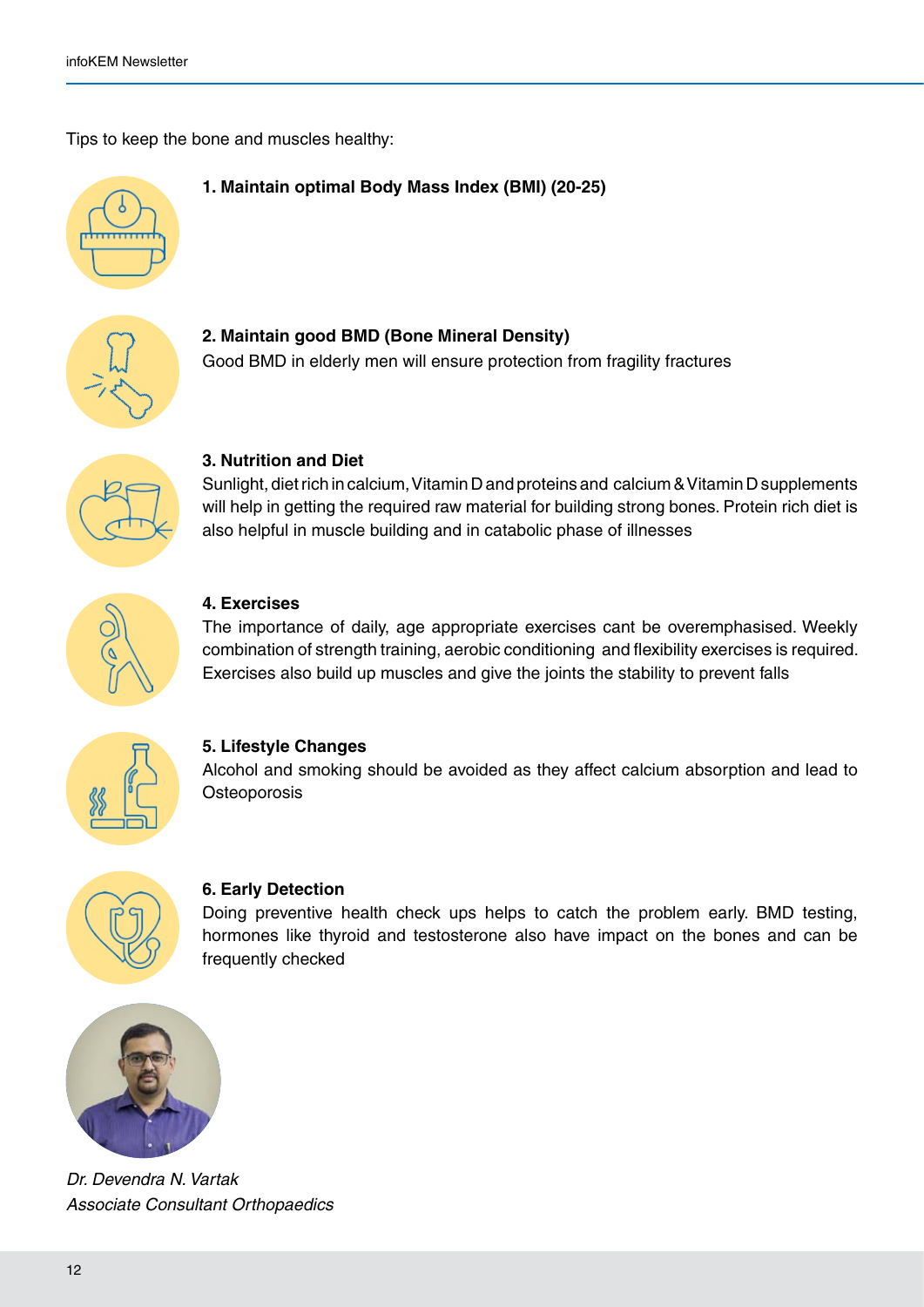Tips to keep the bone and muscles healthy:

#### **1. Maintain optimal Body Mass Index (BMI) (20-25)**



**2. Maintain good BMD (Bone Mineral Density)** Good BMD in elderly men will ensure protection from fragility fractures



#### **3. Nutrition and Diet**

Sunlight, diet rich in calcium, Vitamin D and proteins and calcium & Vitamin D supplements will help in getting the required raw material for building strong bones. Protein rich diet is also helpful in muscle building and in catabolic phase of illnesses



#### **4. Exercises**

The importance of daily, age appropriate exercises cant be overemphasised. Weekly combination of strength training, aerobic conditioning and flexibility exercises is required. Exercises also build up muscles and give the joints the stability to prevent falls



#### **5. Lifestyle Changes**

Alcohol and smoking should be avoided as they affect calcium absorption and lead to **Osteoporosis** 



#### **6. Early Detection**

Doing preventive health check ups helps to catch the problem early. BMD testing, hormones like thyroid and testosterone also have impact on the bones and can be frequently checked



*Dr. Devendra N. Vartak Associate Consultant Orthopaedics*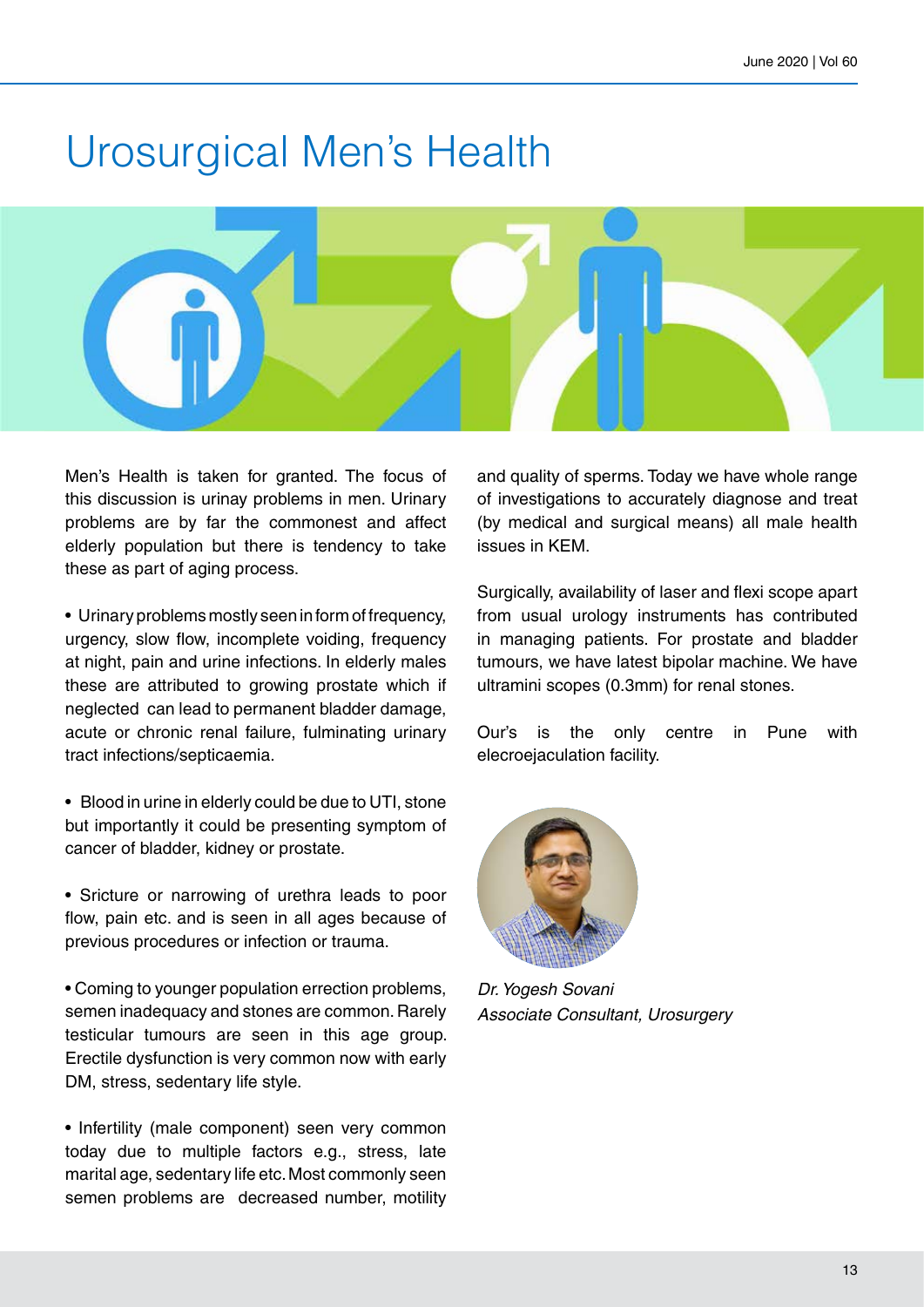### Urosurgical Men's Health



Men's Health is taken for granted. The focus of this discussion is urinay problems in men. Urinary problems are by far the commonest and affect elderly population but there is tendency to take these as part of aging process.

• Urinary problems mostly seen in form of frequency, urgency, slow flow, incomplete voiding, frequency at night, pain and urine infections. In elderly males these are attributed to growing prostate which if neglected can lead to permanent bladder damage, acute or chronic renal failure, fulminating urinary tract infections/septicaemia.

- Blood in urine in elderly could be due to UTI, stone but importantly it could be presenting symptom of cancer of bladder, kidney or prostate.
- Sricture or narrowing of urethra leads to poor flow, pain etc. and is seen in all ages because of previous procedures or infection or trauma.
- Coming to younger population errection problems, semen inadequacy and stones are common. Rarely testicular tumours are seen in this age group. Erectile dysfunction is very common now with early DM, stress, sedentary life style.

• Infertility (male component) seen very common today due to multiple factors e.g., stress, late marital age, sedentary life etc. Most commonly seen semen problems are decreased number, motility and quality of sperms. Today we have whole range of investigations to accurately diagnose and treat (by medical and surgical means) all male health issues in KEM.

Surgically, availability of laser and flexi scope apart from usual urology instruments has contributed in managing patients. For prostate and bladder tumours, we have latest bipolar machine. We have ultramini scopes (0.3mm) for renal stones.

Our's is the only centre in Pune with elecroejaculation facility.



*Dr. Yogesh Sovani Associate Consultant, Urosurgery*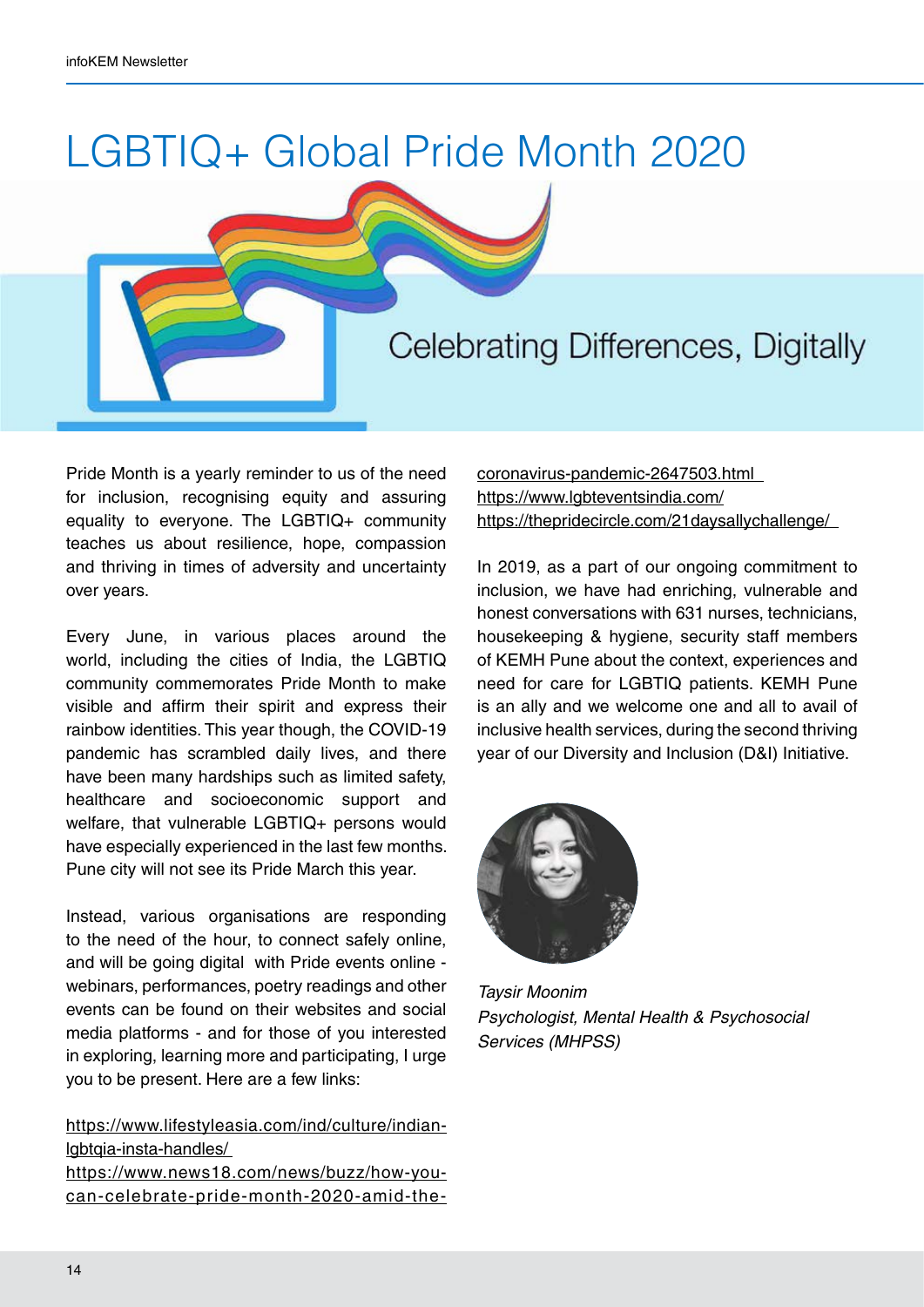# LGBTIQ+ Global Pride Month 2020



Pride Month is a yearly reminder to us of the need for inclusion, recognising equity and assuring equality to everyone. The LGBTIQ+ community teaches us about resilience, hope, compassion and thriving in times of adversity and uncertainty over years.

Every June, in various places around the world, including the cities of India, the LGBTIQ community commemorates Pride Month to make visible and affirm their spirit and express their rainbow identities. This year though, the COVID-19 pandemic has scrambled daily lives, and there have been many hardships such as limited safety, healthcare and socioeconomic support and welfare, that vulnerable LGBTIQ+ persons would have especially experienced in the last few months. Pune city will not see its Pride March this year.

Instead, various organisations are responding to the need of the hour, to connect safely online, and will be going digital with Pride events online webinars, performances, poetry readings and other events can be found on their websites and social media platforms - and for those of you interested in exploring, learning more and participating, I urge you to be present. Here are a few links:

https://www.lifestyleasia.com/ind/culture/indianlgbtqia-insta-handles/ https://www.news18.com/news/buzz/how-youcan-celebrate-pride-month-2020-amid-thecoronavirus-pandemic-2647503.html https://www.lgbteventsindia.com/ https://thepridecircle.com/21daysallychallenge/

In 2019, as a part of our ongoing commitment to inclusion, we have had enriching, vulnerable and honest conversations with 631 nurses, technicians, housekeeping & hygiene, security staff members of KEMH Pune about the context, experiences and need for care for LGBTIQ patients. KEMH Pune is an ally and we welcome one and all to avail of inclusive health services, during the second thriving year of our Diversity and Inclusion (D&I) Initiative.



*Taysir Moonim Psychologist, Mental Health & Psychosocial Services (MHPSS)*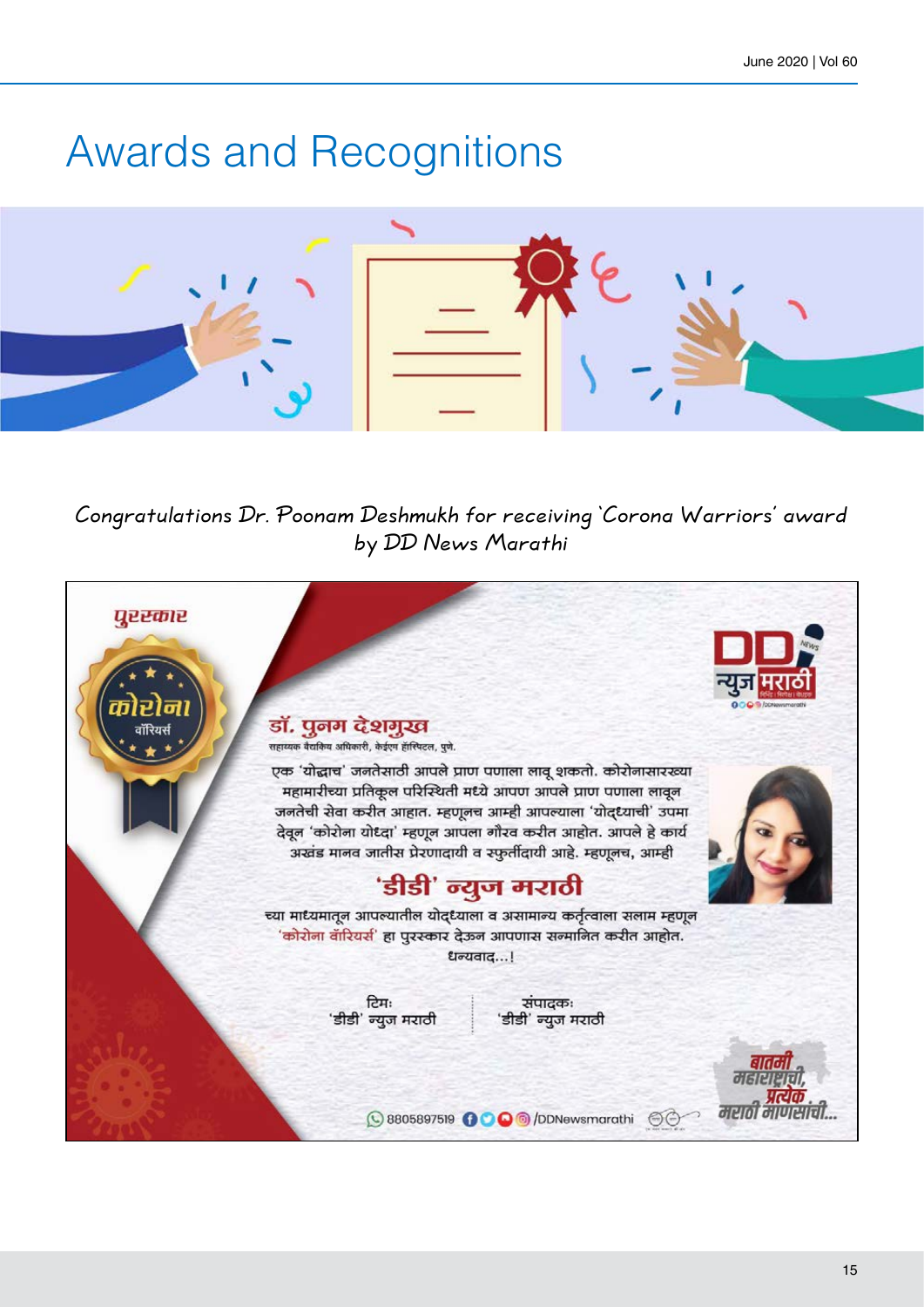## Awards and Recognitions



Congratulations Dr. Poonam Deshmukh for receiving 'Corona Warriors' award by DD News Marathi

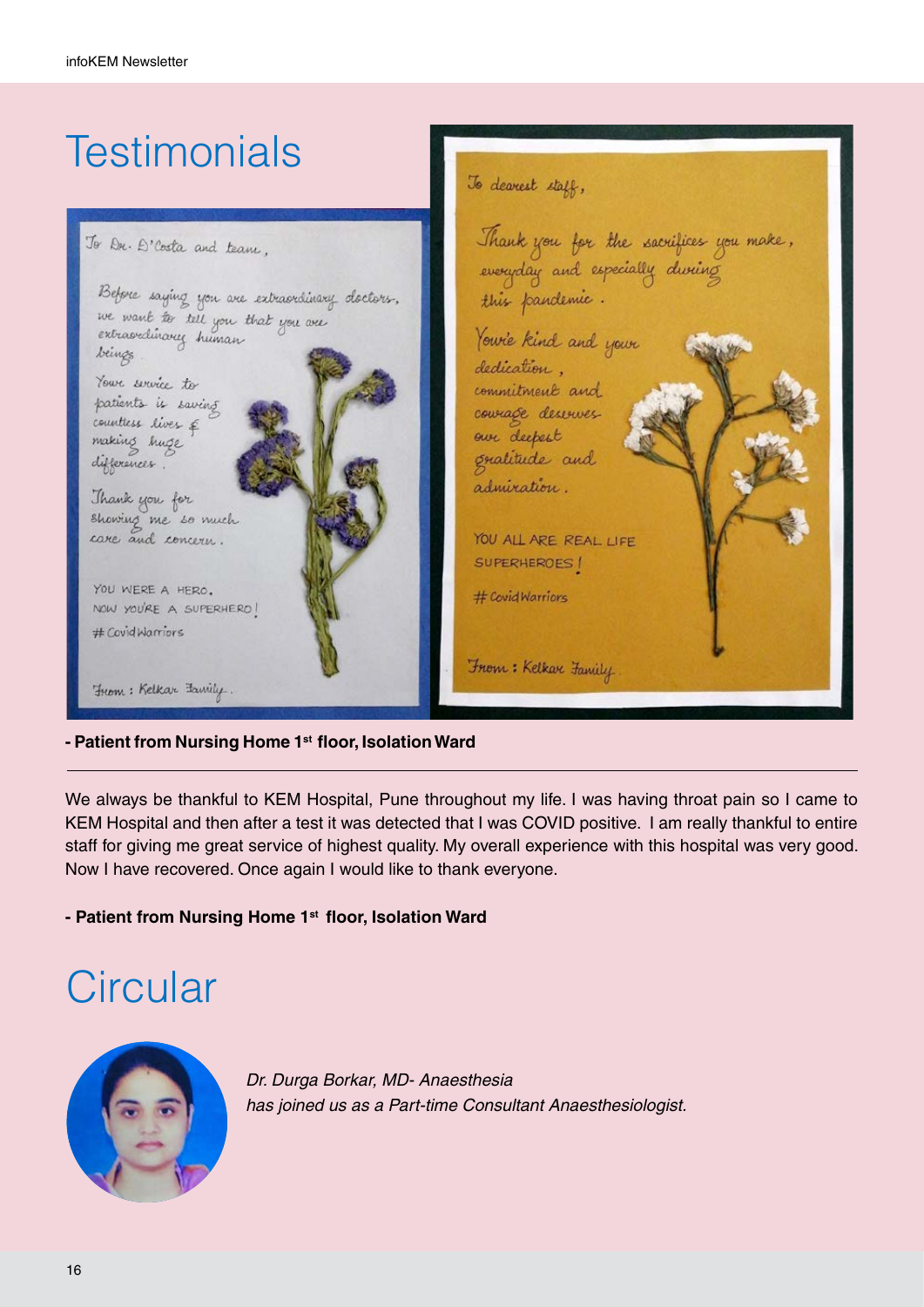#### **Testimonials** To dearest staff, Thank you for the sacrifices you make,<br>everyday and especially *during* To Dr. D'Costa and team, Before saying you are extraordinary doctors. this pandemic. we want to tell you that you are Yourie kind and your beings dedication. Your service to commitment and patients is saving courage deserves counttess lives & our deepest making huge gratitude and differences. admiration. Thank you for showing me so much care and concern. YOU ALL ARE REAL LIFE SUPERHEROES! YOU WERE A HERO. # Covid Warriors NOW YOU'RE A SUPERHERO! # Covid Warriors From: Kelkar Family From: Kelkar Family

#### **- Patient from Nursing Home 1st floor, Isolation Ward**

We always be thankful to KEM Hospital, Pune throughout my life. I was having throat pain so I came to KEM Hospital and then after a test it was detected that I was COVID positive. I am really thankful to entire staff for giving me great service of highest quality. My overall experience with this hospital was very good. Now I have recovered. Once again I would like to thank everyone.

#### **- Patient from Nursing Home 1st floor, Isolation Ward**

## **Circular**



*Dr. Durga Borkar, MD- Anaesthesia has joined us as a Part-time Consultant Anaesthesiologist.*